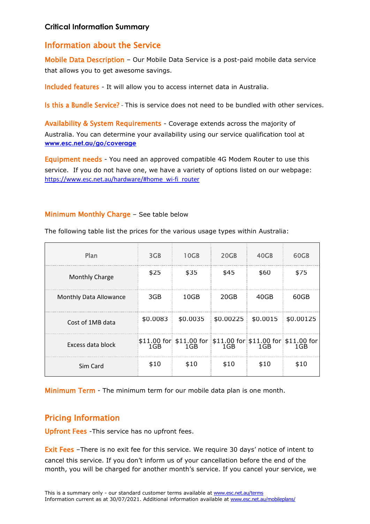### **Critical Information Summary**

## Information about the Service

Mobile Data Description – Our Mobile Data Service is a post-paid mobile data service that allows you to get awesome savings.

Included features - It will allow you to access internet data in Australia.

Is this a Bundle Service? - This is service does not need to be bundled with other services.

Availability & System Requirements - Coverage extends across the majority of Australia. You can determine your availability using our service qualification tool at **www.esc.net.au/go/coverage**

**Equipment needs** - You need an approved compatible 4G Modem Router to use this service. If you do not have one, we have a variety of options listed on our webpage: https://www.esc.net.au/hardware/#home\_wi-fi\_router

### Minimum Monthly Charge – See table below

| Plan                   | 3GB  | 10 <sub>GB</sub>                                                                           | 20GB | 40GB | 60GB |
|------------------------|------|--------------------------------------------------------------------------------------------|------|------|------|
| <b>Monthly Charge</b>  | \$25 | \$35                                                                                       | \$45 | \$60 | \$75 |
| Monthly Data Allowance | 3GB  | 10GB                                                                                       | 20GB | 40GB | 60GB |
| Cost of 1MB data       |      | $$0.0083$ $$0.0035$ $$0.00225$ $$0.0015$ $$0.00125$                                        |      |      |      |
| Excess data block      |      | $$11.00$ for $$11.00$ for $$11.00$ for $$11.00$ for $$11.00$ for $$11.00$ for $1\text{GB}$ |      |      |      |
| Sim Card               | \$10 | \$10                                                                                       | \$10 | \$10 | \$10 |

The following table list the prices for the various usage types within Australia:

Minimum Term - The minimum term for our mobile data plan is one month.

# Pricing Information

Upfront Fees -This service has no upfront fees.

Exit Fees -There is no exit fee for this service. We require 30 days' notice of intent to cancel this service. If you don't inform us of your cancellation before the end of the month, you will be charged for another month's service. If you cancel your service, we